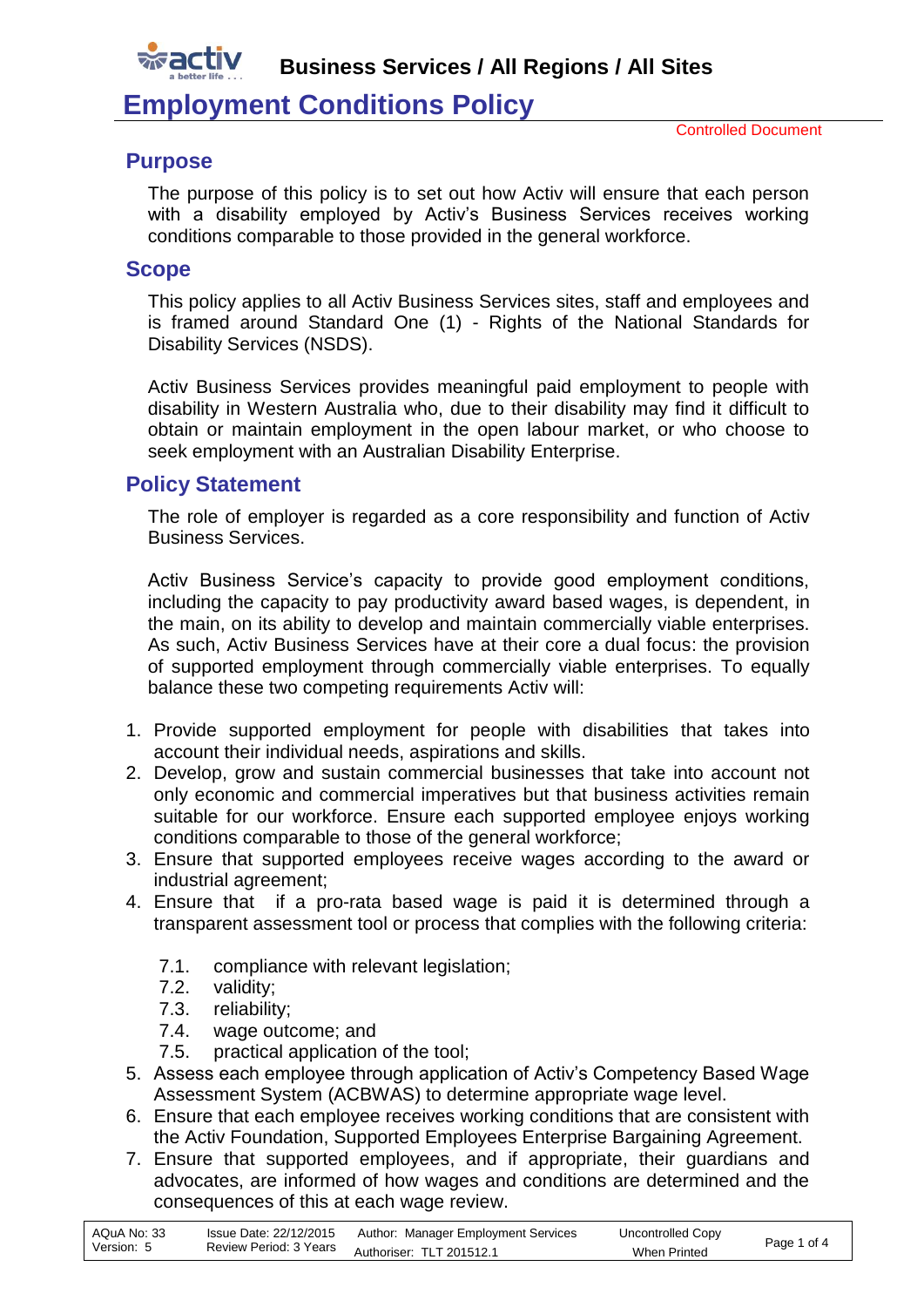

**Business Services / All Regions / All Sites**

# **Employment Conditions Policy**

#### **Purpose**

The purpose of this policy is to set out how Activ will ensure that each person with a disability employed by Activ's Business Services receives working conditions comparable to those provided in the general workforce.

#### **Scope**

This policy applies to all Activ Business Services sites, staff and employees and is framed around Standard One (1) - Rights of the National Standards for Disability Services (NSDS).

Activ Business Services provides meaningful paid employment to people with disability in Western Australia who, due to their disability may find it difficult to obtain or maintain employment in the open labour market, or who choose to seek employment with an Australian Disability Enterprise.

### **Policy Statement**

The role of employer is regarded as a core responsibility and function of Activ Business Services.

Activ Business Service's capacity to provide good employment conditions, including the capacity to pay productivity award based wages, is dependent, in the main, on its ability to develop and maintain commercially viable enterprises. As such, Activ Business Services have at their core a dual focus: the provision of supported employment through commercially viable enterprises. To equally balance these two competing requirements Activ will:

- 1. Provide supported employment for people with disabilities that takes into account their individual needs, aspirations and skills.
- 2. Develop, grow and sustain commercial businesses that take into account not only economic and commercial imperatives but that business activities remain suitable for our workforce. Ensure each supported employee enjoys working conditions comparable to those of the general workforce;
- 3. Ensure that supported employees receive wages according to the award or industrial agreement;
- 4. Ensure that if a pro-rata based wage is paid it is determined through a transparent assessment tool or process that complies with the following criteria:
	- 7.1. compliance with relevant legislation;
	- 7.2. validity;
	- 7.3. reliability;
	- 7.4. wage outcome; and
	- 7.5. practical application of the tool;
- 5. Assess each employee through application of Activ's Competency Based Wage Assessment System (ACBWAS) to determine appropriate wage level.
- 6. Ensure that each employee receives working conditions that are consistent with the Activ Foundation, Supported Employees Enterprise Bargaining Agreement.
- 7. Ensure that supported employees, and if appropriate, their guardians and advocates, are informed of how wages and conditions are determined and the consequences of this at each wage review.

| AQuA No: 33 | Issue Date: 22/12/2015 | Author: Manager Employment Services | Uncontrolled Copy   | Page 1 of 4 |
|-------------|------------------------|-------------------------------------|---------------------|-------------|
| Version: 5  | Review Period: 3 Years | Authoriser: TLT 201512.1            | <b>When Printed</b> |             |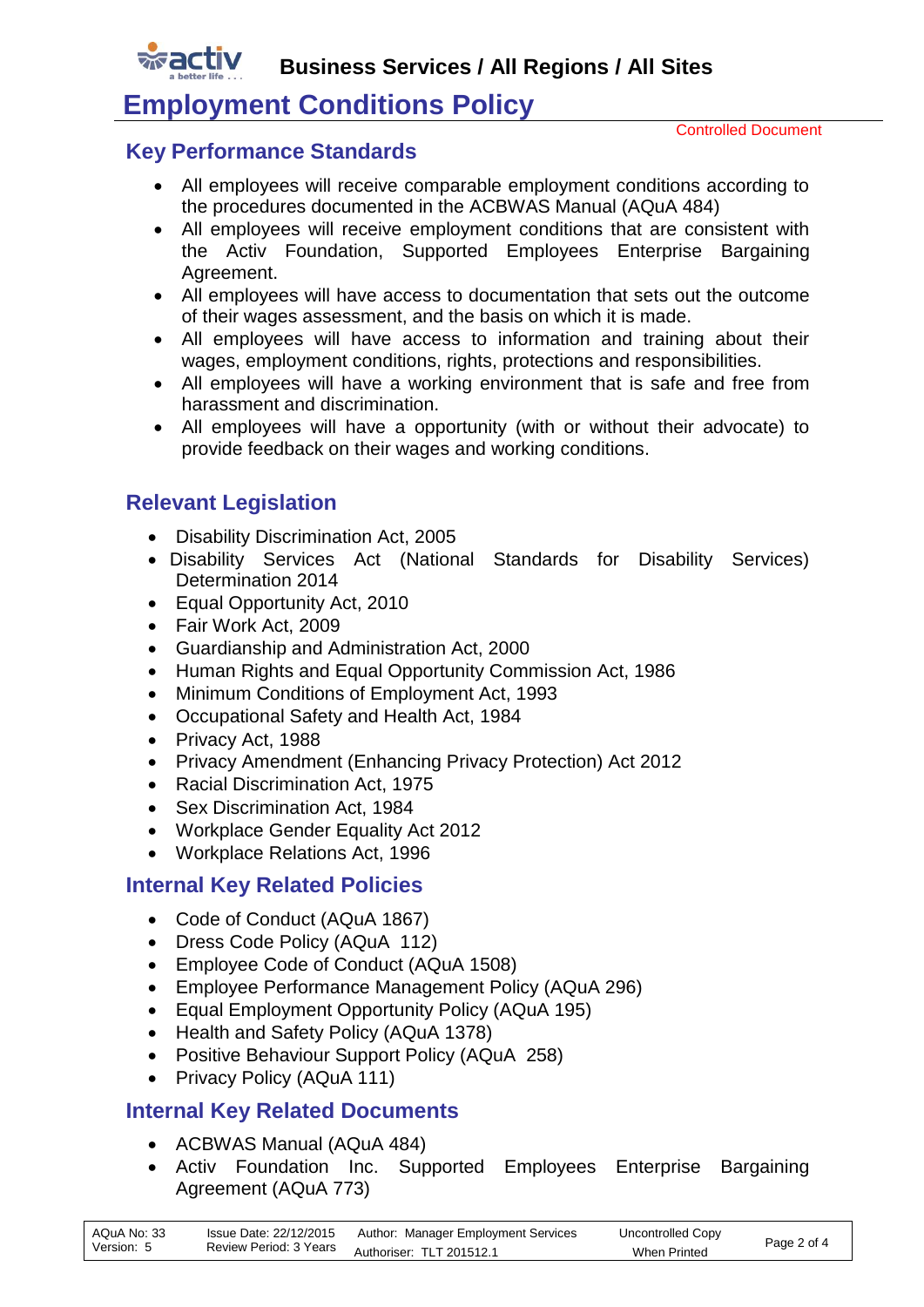**Business Services / All Regions / All Sites**

# **Employment Conditions Policy**

Controlled Document

## **Key Performance Standards**

- All employees will receive comparable employment conditions according to the procedures documented in the ACBWAS Manual (AQuA 484)
- All employees will receive employment conditions that are consistent with the Activ Foundation, Supported Employees Enterprise Bargaining Agreement.
- All employees will have access to documentation that sets out the outcome of their wages assessment, and the basis on which it is made.
- All employees will have access to information and training about their wages, employment conditions, rights, protections and responsibilities.
- All employees will have a working environment that is safe and free from harassment and discrimination.
- All employees will have a opportunity (with or without their advocate) to provide feedback on their wages and working conditions.

# **Relevant Legislation**

- Disability Discrimination Act, 2005
- Disability Services Act (National Standards for Disability Services) Determination 2014
- Equal Opportunity Act, 2010
- Fair Work Act, 2009
- Guardianship and Administration Act, 2000
- Human Rights and Equal Opportunity Commission Act, 1986
- Minimum Conditions of Employment Act, 1993
- Occupational Safety and Health Act, 1984
- Privacy Act, 1988
- Privacy Amendment (Enhancing Privacy Protection) Act 2012
- Racial Discrimination Act, 1975
- Sex Discrimination Act, 1984
- Workplace Gender Equality Act 2012
- Workplace Relations Act, 1996

# **Internal Key Related Policies**

- Code of Conduct (AQuA 1867)
- Dress Code Policy (AQuA 112)
- Employee Code of Conduct (AQuA 1508)
- Employee Performance Management Policy (AQuA 296)
- Equal Employment Opportunity Policy (AQuA 195)
- Health and Safety Policy (AQuA 1378)
- Positive Behaviour Support Policy (AQuA 258)
- Privacy Policy (AQuA 111)

# **Internal Key Related Documents**

- ACBWAS Manual (AQuA 484)
- Activ Foundation Inc. Supported Employees Enterprise Bargaining Agreement (AQuA 773)

| AQuA No: 33 | Issue Date: 22/12/2015 | Author: Manager Employment Services | Uncontrolled Copy   | Page 2 of 4 |
|-------------|------------------------|-------------------------------------|---------------------|-------------|
| Version: 5  | Review Period: 3 Years | Authoriser: TLT 201512.1            | <b>When Printed</b> |             |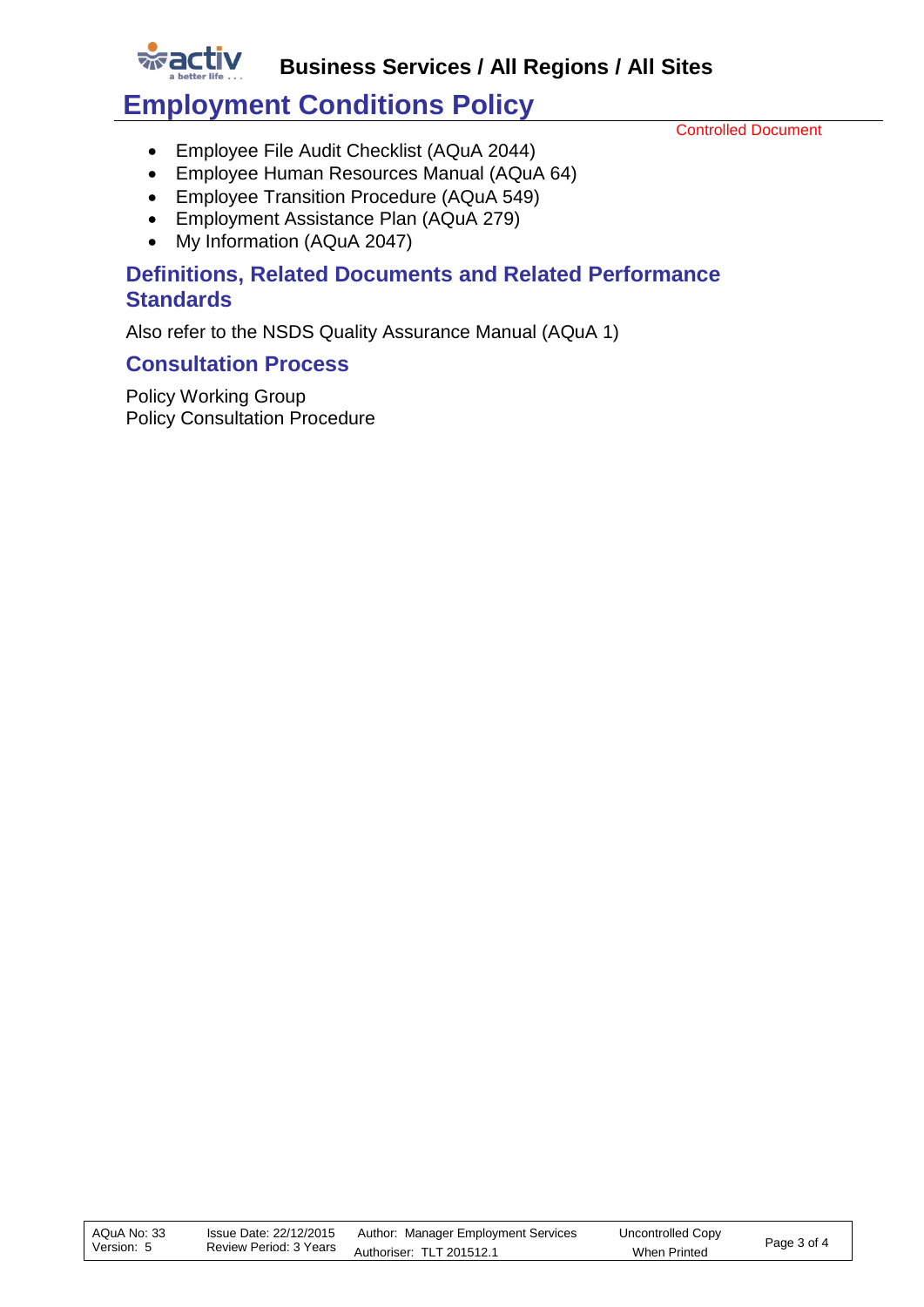

# **Employment Conditions Policy**

Controlled Document

- Employee File Audit Checklist (AQuA 2044)
- Employee Human Resources Manual (AQuA 64)
- Employee Transition Procedure (AQuA 549)
- Employment Assistance Plan (AQuA 279)
- [My Information \(AQuA 2047\)](http://activnet/Intralogic/content/00004031/2047.doc)

## **Definitions, Related Documents and Related Performance Standards**

Also refer to the NSDS Quality Assurance Manual (AQuA 1)

### **Consultation Process**

wact

Policy Working Group Policy Consultation Procedure

| AQuA No: 33 | Issue Date: 22/12/2015 | Author: Manager Employment Services             | Uncontrolled Copy | Page 3 of 4 |
|-------------|------------------------|-------------------------------------------------|-------------------|-------------|
| Version: 5  |                        | Review Period: 3 Years Authoriser: TLT 201512.1 | When Printed      |             |